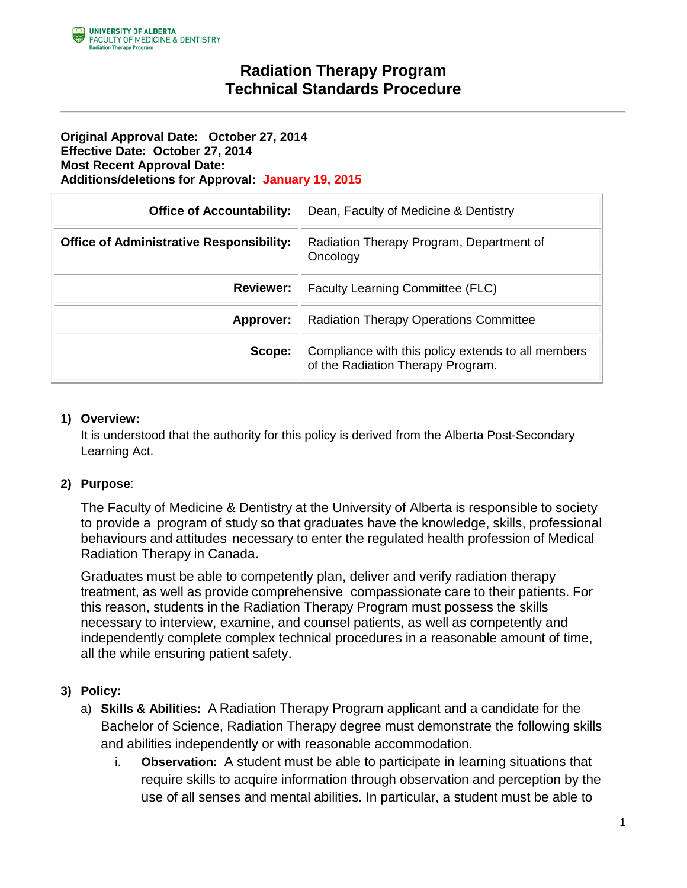## **Radiation Therapy Program Technical Standards Procedure**

#### **Original Approval Date: October 27, 2014 Effective Date: October 27, 2014 Most Recent Approval Date: Additions/deletions for Approval: January 19, 2015**

| <b>Office of Accountability:</b>                | Dean, Faculty of Medicine & Dentistry                                                   |
|-------------------------------------------------|-----------------------------------------------------------------------------------------|
| <b>Office of Administrative Responsibility:</b> | Radiation Therapy Program, Department of<br>Oncology                                    |
| <b>Reviewer:</b>                                | <b>Faculty Learning Committee (FLC)</b>                                                 |
| Approver:                                       | <b>Radiation Therapy Operations Committee</b>                                           |
| Scope:                                          | Compliance with this policy extends to all members<br>of the Radiation Therapy Program. |

### **1) Overview:**

It is understood that the authority for this policy is derived from the Alberta Post-Secondary Learning Act.

### **2) Purpose**:

The Faculty of Medicine & Dentistry at the University of Alberta is responsible to society to provide a program of study so that graduates have the knowledge, skills, professional behaviours and attitudes necessary to enter the regulated health profession of Medical Radiation Therapy in Canada.

Graduates must be able to competently plan, deliver and verify radiation therapy treatment, as well as provide comprehensive compassionate care to their patients. For this reason, students in the Radiation Therapy Program must possess the skills necessary to interview, examine, and counsel patients, as well as competently and independently complete complex technical procedures in a reasonable amount of time, all the while ensuring patient safety.

### **3) Policy:**

- a) **Skills & Abilities:** A Radiation Therapy Program applicant and a candidate for the Bachelor of Science, Radiation Therapy degree must demonstrate the following skills and abilities independently or with reasonable accommodation.
	- i. **Observation:** A student must be able to participate in learning situations that require skills to acquire information through observation and perception by the use of all senses and mental abilities. In particular, a student must be able to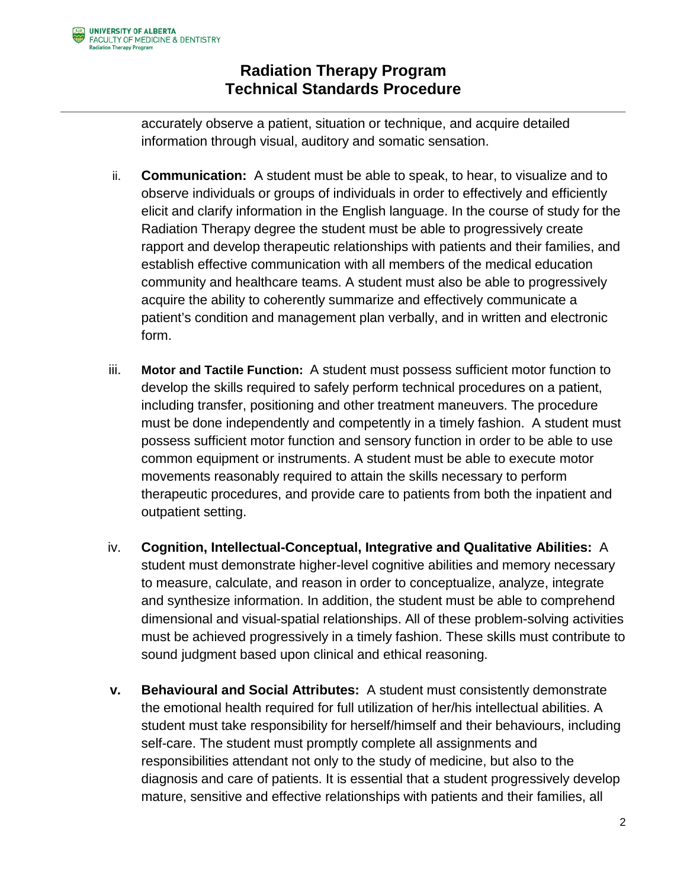# **Radiation Therapy Program Technical Standards Procedure**

accurately observe a patient, situation or technique, and acquire detailed information through visual, auditory and somatic sensation.

- ii. **Communication:** A student must be able to speak, to hear, to visualize and to observe individuals or groups of individuals in order to effectively and efficiently elicit and clarify information in the English language. In the course of study for the Radiation Therapy degree the student must be able to progressively create rapport and develop therapeutic relationships with patients and their families, and establish effective communication with all members of the medical education community and healthcare teams. A student must also be able to progressively acquire the ability to coherently summarize and effectively communicate a patient's condition and management plan verbally, and in written and electronic form.
- iii. **Motor and Tactile Function:** A student must possess sufficient motor function to develop the skills required to safely perform technical procedures on a patient, including transfer, positioning and other treatment maneuvers. The procedure must be done independently and competently in a timely fashion. A student must possess sufficient motor function and sensory function in order to be able to use common equipment or instruments. A student must be able to execute motor movements reasonably required to attain the skills necessary to perform therapeutic procedures, and provide care to patients from both the inpatient and outpatient setting.
- iv. **Cognition, Intellectual-Conceptual, Integrative and Qualitative Abilities:** A student must demonstrate higher-level cognitive abilities and memory necessary to measure, calculate, and reason in order to conceptualize, analyze, integrate and synthesize information. In addition, the student must be able to comprehend dimensional and visual-spatial relationships. All of these problem-solving activities must be achieved progressively in a timely fashion. These skills must contribute to sound judgment based upon clinical and ethical reasoning.
- **v. Behavioural and Social Attributes:** A student must consistently demonstrate the emotional health required for full utilization of her/his intellectual abilities. A student must take responsibility for herself/himself and their behaviours, including self-care. The student must promptly complete all assignments and responsibilities attendant not only to the study of medicine, but also to the diagnosis and care of patients. It is essential that a student progressively develop mature, sensitive and effective relationships with patients and their families, all